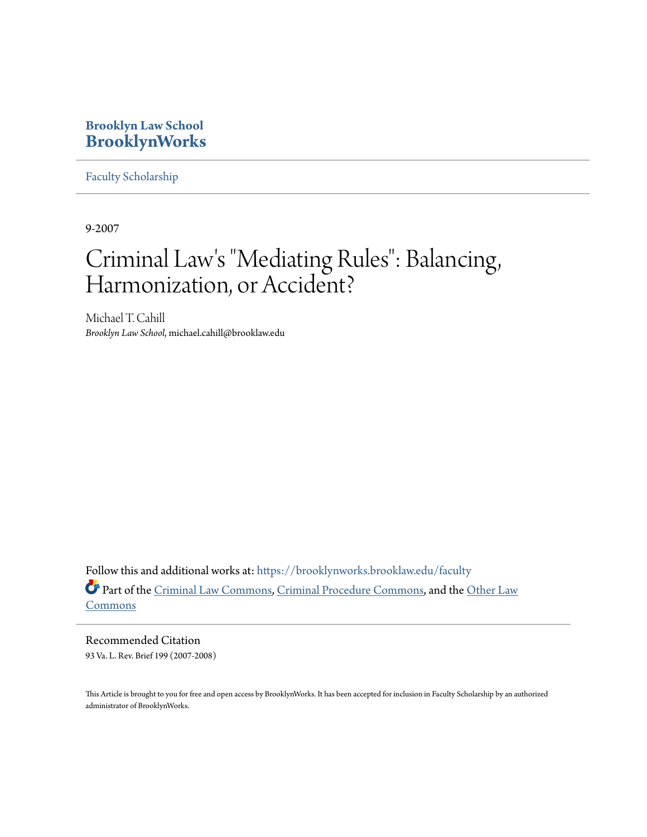### **Brooklyn Law School [BrooklynWorks](https://brooklynworks.brooklaw.edu?utm_source=brooklynworks.brooklaw.edu%2Ffaculty%2F549&utm_medium=PDF&utm_campaign=PDFCoverPages)**

[Faculty Scholarship](https://brooklynworks.brooklaw.edu/faculty?utm_source=brooklynworks.brooklaw.edu%2Ffaculty%2F549&utm_medium=PDF&utm_campaign=PDFCoverPages)

9-2007

# Criminal Law 's "Mediating Rules": Balancing, Harmonization, or Accident?

Michael T. Cahill *Brooklyn Law School*, michael.cahill@brooklaw.edu

Follow this and additional works at: [https://brooklynworks.brooklaw.edu/faculty](https://brooklynworks.brooklaw.edu/faculty?utm_source=brooklynworks.brooklaw.edu%2Ffaculty%2F549&utm_medium=PDF&utm_campaign=PDFCoverPages) Part of the [Criminal Law Commons](http://network.bepress.com/hgg/discipline/912?utm_source=brooklynworks.brooklaw.edu%2Ffaculty%2F549&utm_medium=PDF&utm_campaign=PDFCoverPages), [Criminal Procedure Commons](http://network.bepress.com/hgg/discipline/1073?utm_source=brooklynworks.brooklaw.edu%2Ffaculty%2F549&utm_medium=PDF&utm_campaign=PDFCoverPages), and the [Other Law](http://network.bepress.com/hgg/discipline/621?utm_source=brooklynworks.brooklaw.edu%2Ffaculty%2F549&utm_medium=PDF&utm_campaign=PDFCoverPages) **[Commons](http://network.bepress.com/hgg/discipline/621?utm_source=brooklynworks.brooklaw.edu%2Ffaculty%2F549&utm_medium=PDF&utm_campaign=PDFCoverPages)** 

Recommended Citation 93 Va. L. Rev. Brief 199 (2007-2008)

This Article is brought to you for free and open access by BrooklynWorks. It has been accepted for inclusion in Faculty Scholarship by an authorized administrator of BrooklynWorks.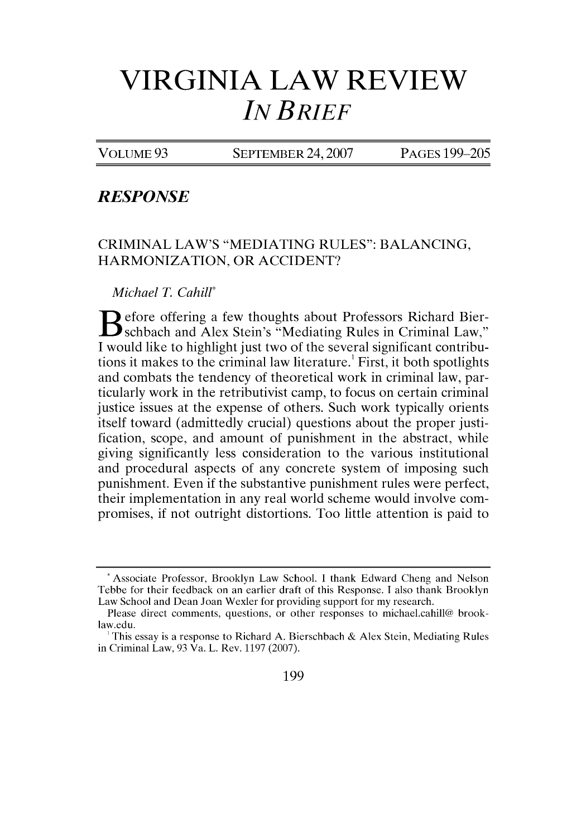## **VIRGINIA LAW REVIEW** *IN BRIEF*

VOLUME 93 SEPTEMBER 24,2007 PAGES 199-205

#### *RESPONSE*

CRIMINAL LAW'S "MEDIATING RULES": BALANCING, HARMONIZATION, OR ACCIDENT?

*Michael T. Cahill\**

**B** efore offering a few thoughts about Professors Richard Bierschbach and Alex Stein's "Mediating Rules in Criminal Law," I would like to highlight just two of the several significant contributions it makes to the criminal law literature.' First, it both spotlights and combats the tendency of theoretical work in criminal law, particularly work in the retributivist camp, to focus on certain criminal justice issues at the expense of others. Such work typically orients itself toward (admittedly crucial) questions about the proper justification, scope, and amount of punishment in the abstract, while giving significantly less consideration to the various institutional and procedural aspects of any concrete system of imposing such punishment. Even if the substantive punishment rules were perfect, their implementation in any real world scheme would involve compromises, if not outright distortions. Too little attention is paid to

199

**<sup>\*</sup>** Associate Professor, Brooklyn Law School. I thank Edward Cheng and Nelson Tebbe for their feedback on an earlier draft of this Response. I also thank Brooklyn Law School and Dean Joan Wexler for providing support for my research.

Please direct comments, questions, or other responses to michael.cahill@ brooklaw.edu.

This essay is a response to Richard A. Bierschbach & Alex Stein, Mediating Rules in Criminal Law, 93 Va. L. Rev. 1197 (2007).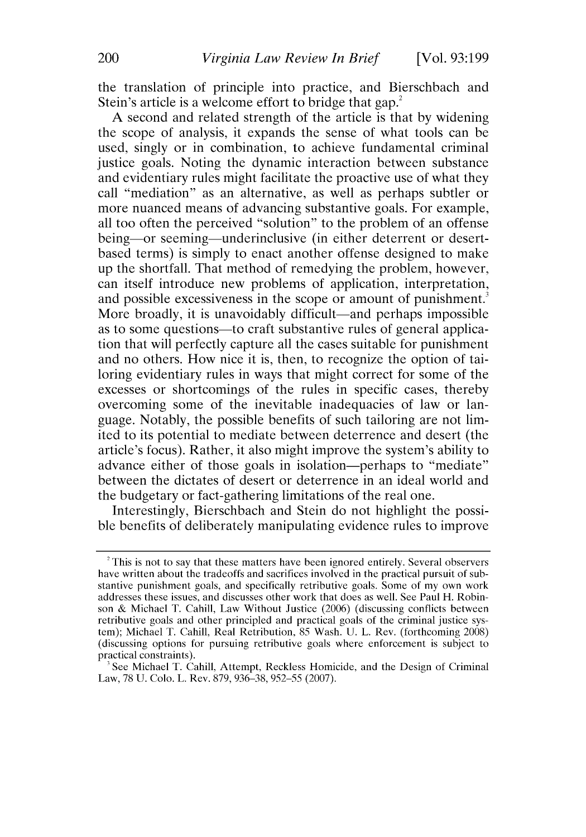the translation of principle into practice, and Bierschbach and Stein's article is a welcome effort to bridge that gap.<sup>2</sup>

A second and related strength of the article is that by widening the scope of analysis, it expands the sense of what tools can be used, singly or in combination, to achieve fundamental criminal justice goals. Noting the dynamic interaction between substance and evidentiary rules might facilitate the proactive use of what they call "mediation" as an alternative, as well as perhaps subtler or more nuanced means of advancing substantive goals. For example, all too often the perceived "solution" to the problem of an offense being—or seeming—underinclusive (in either deterrent or desertbased terms) is simply to enact another offense designed to make up the shortfall. That method of remedying the problem, however, can itself introduce new problems of application, interpretation, and possible excessiveness in the scope or amount of punishment. More broadly, it is unavoidably difficult—and perhaps impossible as to some questions—to craft substantive rules of general application that will perfectly capture all the cases suitable for punishment and no others. How nice it is, then, to recognize the option of tailoring evidentiary rules in ways that might correct for some of the excesses or shortcomings of the rules in specific cases, thereby overcoming some of the inevitable inadequacies of law or language. Notably, the possible benefits of such tailoring are not limited to its potential to mediate between deterrence and desert (the article's focus). Rather, it also might improve the system's ability to advance either of those goals in isolation—perhaps to "mediate" between the dictates of desert or deterrence in an ideal world and the budgetary or fact-gathering limitations of the real one.

Interestingly, Bierschbach and Stein do not highlight the possible benefits of deliberately manipulating evidence rules to improve

<sup>&</sup>lt;sup>2</sup> This is not to say that these matters have been ignored entirely. Several observers have written about the tradeoffs and sacrifices involved in the practical pursuit of substantive punishment goals, and specifically retributive goals. Some of my own work addresses these issues, and discusses other work that does as well. See Paul H. Robinson & Michael T. Cahill, Law Without Justice (2006) (discussing conflicts between retributive goals and other principled and practical goals of the criminal justice system); Michael T. Cahill, Real Retribution, 85 Wash. U. L. Rev. (forthcoming 2008) (discussing options for pursuing retributive goals where enforcement is subject to practical constraints).

See Michael T. Cahill, Attempt, Reckless Homicide, and the Design of Criminal Law, 78 U. Colo. L. Rev. 879, 936-38, 952-55 (2007).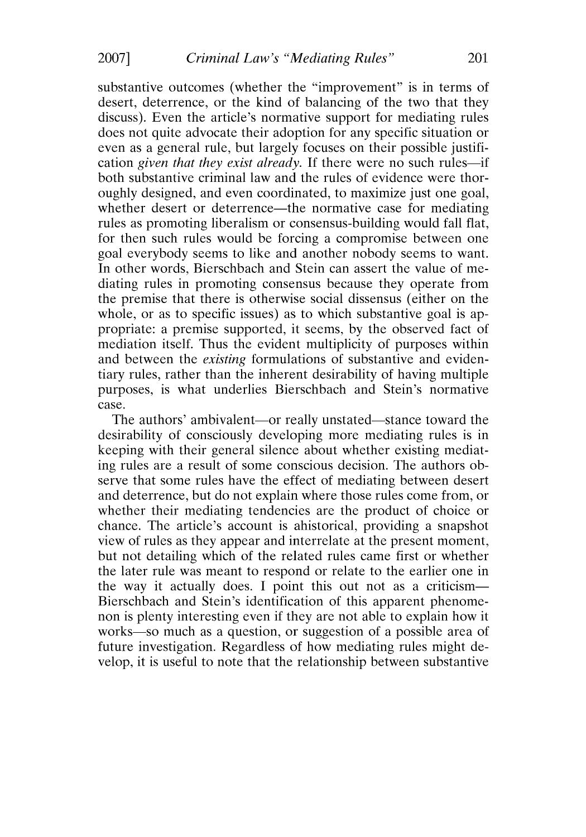substantive outcomes (whether the "improvement" is in terms of desert, deterrence, or the kind of balancing of the two that they discuss). Even the article's normative support for mediating rules does not quite advocate their adoption for any specific situation or even as a general rule, but largely focuses on their possible justification *given that they exist already*. If there were no such rules—if both substantive criminal law and the rules of evidence were thoroughly designed, and even coordinated, to maximize just one goal, whether desert or deterrence—the normative case for mediating rules as promoting liberalism or consensus-building would fall flat, for then such rules would be forcing a compromise between one goal everybody seems to like and another nobody seems to want. In other words, Bierschbach and Stein can assert the value of mediating rules in promoting consensus because they operate from the premise that there is otherwise social dissensus (either on the whole, or as to specific issues) as to which substantive goal is appropriate: a premise supported, it seems, by the observed fact of mediation itself. Thus the evident multiplicity of purposes within and between the *existing* formulations of substantive and evidentiary rules, rather than the inherent desirability of having multiple purposes, is what underlies Bierschbach and Stein's normative case.

The authors' ambivalent—or really unstated—stance toward the desirability of consciously developing more mediating rules is in keeping with their general silence about whether existing mediating rules are a result of some conscious decision. The authors observe that some rules have the effect of mediating between desert and deterrence, but do not explain where those rules come from, or whether their mediating tendencies are the product of choice or chance. The article's account is ahistorical, providing a snapshot view of rules as they appear and interrelate at the present moment, but not detailing which of the related rules came first or whether the later rule was meant to respond or relate to the earlier one in the way it actually does. I point this out not as a criticism— Bierschbach and Stein's identification of this apparent phenomenon is plenty interesting even if they are not able to explain how it works-so much as a question, or suggestion of a possible area of future investigation. Regardless of how mediating rules might develop, it is useful to note that the relationship between substantive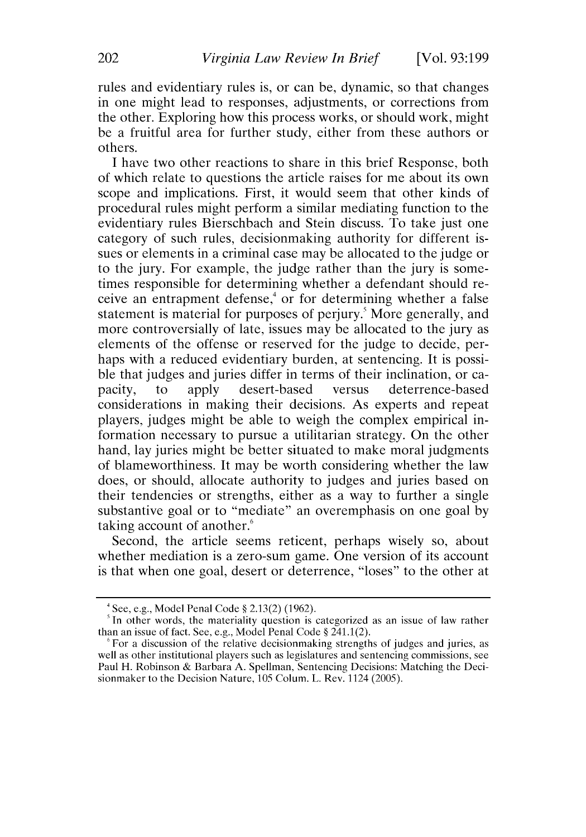rules and evidentiary rules is, or can be, dynamic, so that changes in one might lead to responses, adjustments, or corrections from the other. Exploring how this process works, or should work, might be a fruitful area for further study, either from these authors or others.

I have two other reactions to share in this brief Response, both of which relate to questions the article raises for me about its own scope and implications. First, it would seem that other kinds of procedural rules might perform a similar mediating function to the evidentiary rules Bierschbach and Stein discuss. To take just one category of such rules, decisionmaking authority for different issues or elements in a criminal case may be allocated to the judge or to the jury. For example, the judge rather than the jury is sometimes responsible for determining whether a defendant should receive an entrapment defense, $\frac{4}{3}$  or for determining whether a false statement is material for purposes of perjury.<sup>5</sup> More generally, and more controversially of late, issues may be allocated to the jury as elements of the offense or reserved for the judge to decide, perhaps with a reduced evidentiary burden, at sentencing. It is possible that judges and juries differ in terms of their inclination, or capacity, to apply desert-based versus deterrence-based considerations in making their decisions. As experts and repeat players, judges might be able to weigh the complex empirical information necessary to pursue a utilitarian strategy. On the other hand, lay juries might be better situated to make moral judgments of blameworthiness. It may be worth considering whether the law does, or should, allocate authority to judges and juries based on their tendencies or strengths, either as a way to further a single substantive goal or to "mediate" an overemphasis on one goal by taking account of another.'

Second, the article seems reticent, perhaps wisely so, about whether mediation is a zero-sum game. One version of its account is that when one goal, desert or deterrence, "loses" to the other at

<sup>&#</sup>x27;See, e.g., Model Penal Code § 2.13(2) (1962).

 $<sup>5</sup>$  In other words, the materiality question is categorized as an issue of law rather</sup> than an issue of fact. See, e.g., Model Penal Code § 241.1(2).

<sup>&#</sup>x27;For a discussion of the relative decisionmaking strengths of judges and juries, as well as other institutional players such as legislatures and sentencing commissions, see Paul H. Robinson & Barbara A. Spellman, Sentencing Decisions: Matching the Decisionmaker to the Decision Nature, 105 Colum. L. Rev. 1124 (2005).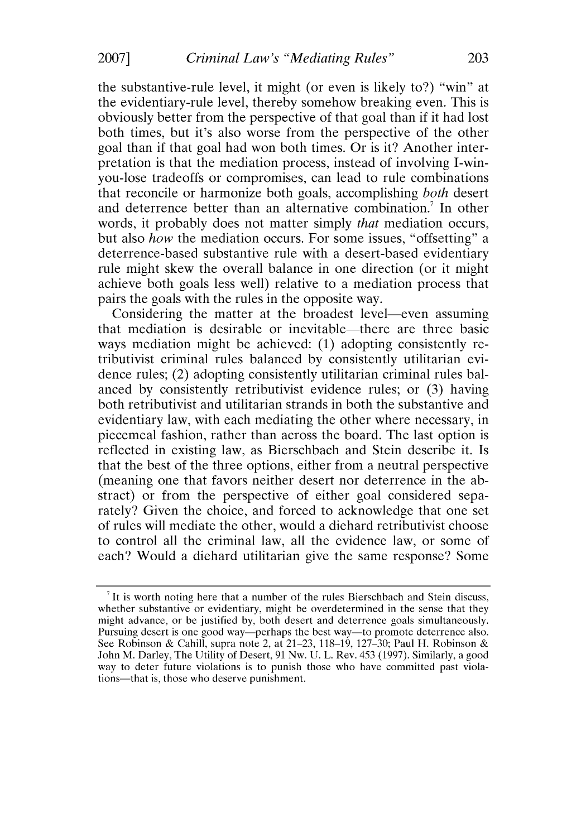the substantive-rule level, it might (or even is likely to?) "win" at the evidentiary-rule level, thereby somehow breaking even. This is obviously better from the perspective of that goal than if it had lost both times, but it's also worse from the perspective of the other goal than if that goal had won both times. Or is it? Another interpretation is that the mediation process, instead of involving I-winyou-lose tradeoffs or compromises, can lead to rule combinations that reconcile or harmonize both goals, accomplishing *both* desert and deterrence better than an alternative combination.<sup>7</sup> In other words, it probably does not matter simply *that* mediation occurs, but also *how* the mediation occurs. For some issues, "offsetting" a deterrence-based substantive rule with a desert-based evidentiary rule might skew the overall balance in one direction (or it might achieve both goals less well) relative to a mediation process that pairs the goals with the rules in the opposite way.

Considering the matter at the broadest level—even assuming that mediation is desirable or inevitable—there are three basic ways mediation might be achieved: (1) adopting consistently retributivist criminal rules balanced by consistently utilitarian evidence rules; (2) adopting consistently utilitarian criminal rules balanced by consistently retributivist evidence rules; or (3) having both retributivist and utilitarian strands in both the substantive and evidentiary law, with each mediating the other where necessary, in piecemeal fashion, rather than across the board. The last option is reflected in existing law, as Bierschbach and Stein describe it. Is that the best of the three options, either from a neutral perspective (meaning one that favors neither desert nor deterrence in the abstract) or from the perspective of either goal considered separately? Given the choice, and forced to acknowledge that one set of rules will mediate the other, would a diehard retributivist choose to control all the criminal law, all the evidence law, or some of each? Would a diehard utilitarian give the same response? Some

**<sup>7</sup>**It is worth noting here that a number of the rules Bierschbach and Stein discuss, whether substantive or evidentiary, might be overdetermined in the sense that they might advance, or be justified by, both desert and deterrence goals simultaneously. Pursuing desert is one good way—perhaps the best way—to promote deterrence also. See Robinson & Cahill, supra note 2, at 21–23, 118–19, 127–30; Paul H. Robinson & John M. Darley, The Utility of Desert, 91 Nw. U. L. Rev. 453 (1997). Similarly, a good way to deter future violations is to punish those who have committed past violations-that is, those who deserve punishment.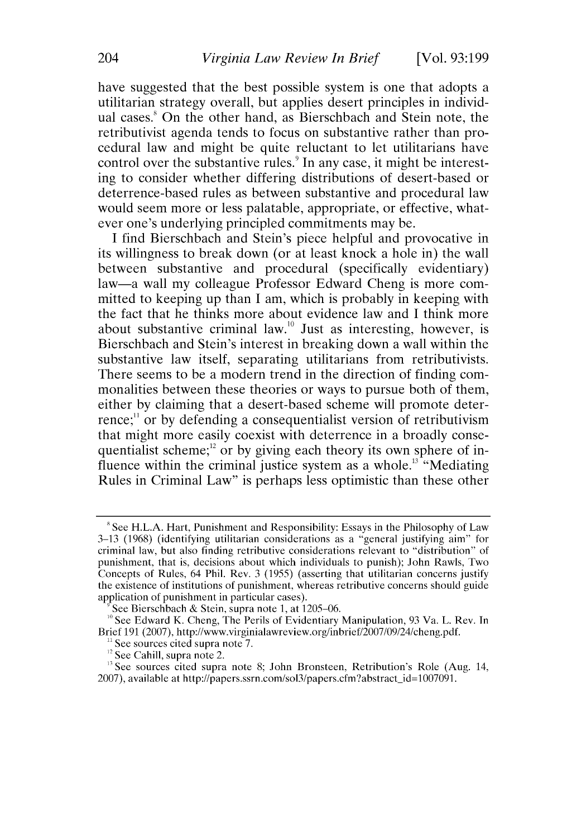have suggested that the best possible system is one that adopts a utilitarian strategy overall, but applies desert principles in individual cases.' On the other hand, as Bierschbach and Stein note, the retributivist agenda tends to focus on substantive rather than procedural law and might be quite reluctant to let utilitarians have control over the substantive rules.<sup>9</sup> In any case, it might be interesting to consider whether differing distributions of desert-based or deterrence-based rules as between substantive and procedural law would seem more or less palatable, appropriate, or effective, whatever one's underlying principled commitments may be.

I find Bierschbach and Stein's piece helpful and provocative in its willingness to break down (or at least knock a hole in) the wall between substantive and procedural (specifically evidentiary) law-a wall my colleague Professor Edward Cheng is more committed to keeping up than I am, which is probably in keeping with the fact that he thinks more about evidence law and I think more about substantive criminal law.<sup>10</sup> Just as interesting, however, is Bierschbach and Stein's interest in breaking down a wall within the substantive law itself, separating utilitarians from retributivists. There seems to be a modern trend in the direction of finding commonalities between these theories or ways to pursue both of them, either by claiming that a desert-based scheme will promote deterrence;<sup>"</sup> or by defending a consequentialist version of retributivism that might more easily coexist with deterrence in a broadly consequentialist scheme; $^{12}$  or by giving each theory its own sphere of influence within the criminal justice system as a whole.<sup>13</sup> "Mediating" Rules in Criminal Law" is perhaps less optimistic than these other

See sources cited supra note 7.

<sup>&</sup>lt;sup>8</sup> See H.L.A. Hart, Punishment and Responsibility: Essays in the Philosophy of Law **3-13** (1968) (identifying utilitarian considerations as a "general justifying aim" for criminal law, but also finding retributive considerations relevant to "distribution" of punishment, that is, decisions about which individuals to punish); John Rawls, Two Concepts of Rules, 64 Phil. Rev. 3 (1955) (asserting that utilitarian concerns justify the existence of institutions of punishment, whereas retributive concerns should guide application of punishment in particular cases).

See Bierschbach & Stein, supra note 1, at  $1205-06$ .

**<sup>&</sup>quot;** See Edward K. Cheng, The Perils of Evidentiary Manipulation, 93 Va. L. Rev. In Brief 191 (2007), http://www.virginialawreview.org/inbrief/2007/09/24/cheng.pdf.

<sup>&</sup>lt;sup>12</sup> See Cahill, supra note 2.

<sup>&</sup>lt;sup>13</sup> See sources cited supra note 8; John Bronsteen, Retribution's Role (Aug. 14, 2007), available at http://papers.ssrn.com/sol3/papers.cfm?abstract-id=1007091.